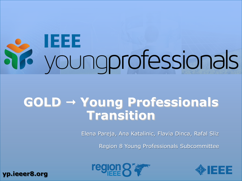# **IEEE**<br>youngprofessionals

# **GOLD Young Professionals Transition**

Elena Pareja, Ana Katalinic, Flavia Dinca, Rafal Sliz

Region 8 Young Professionals Subcommittee





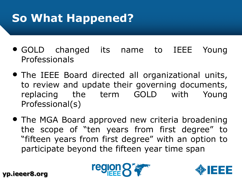# **So What Happened?**

- GOLD changed its name to IEEE Young Professionals
- The IEEE Board directed all organizational units, to review and update their governing documents, replacing the term GOLD with Young Professional(s)
- The MGA Board approved new criteria broadening the scope of "ten years from first degree" to "fifteen years from first degree" with an option to participate beyond the fifteen year time span



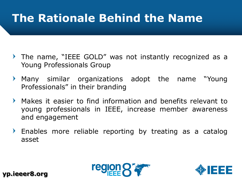# **The Rationale Behind the Name**

- The name, "IEEE GOLD" was not instantly recognized as a Young Professionals Group
- Many similar organizations adopt the name "Young  $\blacktriangleright$ Professionals" in their branding
- $\blacktriangleright$ Makes it easier to find information and benefits relevant to young professionals in IEEE, increase member awareness and engagement
- Enables more reliable reporting by treating as a catalog asset



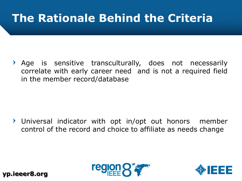# **The Rationale Behind the Criteria**

Age is sensitive transculturally, does not necessarily correlate with early career need and is not a required field in the member record/database

Universal indicator with opt in/opt out honors member control of the record and choice to affiliate as needs change



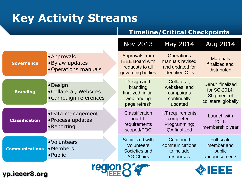# **Key Activity Streams**

#### **Timeline/Critical Checkpoints**

|                       |                                                            | <b>Nov 2013</b>                                                                 | May 2014                                                                         | Aug 2014                                                              |
|-----------------------|------------------------------------------------------------|---------------------------------------------------------------------------------|----------------------------------------------------------------------------------|-----------------------------------------------------------------------|
| <b>Governance</b>     | • Approvals<br>• Bylaw updates<br>•Operations manuals      | Approvals from<br><b>IEEE Board with</b><br>requests to all<br>governing bodies | <b>Operations</b><br>manuals revised<br>and updated for<br><b>identified OUs</b> | <b>Materials</b><br>finalized and<br>distributed                      |
| <b>Branding</b>       | • Design<br>• Collateral, Websites<br>•Campaign references | Design and<br>branding<br>finalized, initial<br>web landing<br>page refresh     | Collateral,<br>websites, and<br>campaigns<br>continually<br>updated              | Debut finalized<br>for SC-2014;<br>Shipment of<br>collateral globally |
| <b>Classification</b> | •Data management<br>• Process updates<br>• Reporting       | Classification<br>and I.T.<br>requirements<br>scoped/POC                        | I.T requirements<br>completed;<br>Programming;<br><b>QA</b> finalized            | Launch with<br>2015<br>membership year                                |
| <b>Communications</b> | · Volunteers<br>• Members<br>$\bullet$ Public              | Socialized with<br><b>Volunteers</b><br>Societies and<br><b>AG Chairs</b>       | Continued<br>communications<br>to include<br>resources                           | <b>Full-scale</b><br>member and<br>public<br>announcements            |
| EEE<br>yp.ieeer8.org  |                                                            |                                                                                 |                                                                                  |                                                                       |

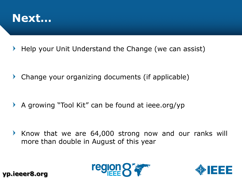

Help your Unit Understand the Change (we can assist)  $\blacktriangleright$ 

Change your organizing documents (if applicable)  $\blacktriangleright$ 

A growing "Tool Kit" can be found at ieee.org/yp  $\blacktriangleright$ 

Know that we are 64,000 strong now and our ranks will  $\blacktriangleright$ more than double in August of this year



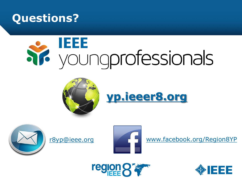

# **IEEE Si** youngprofessionals









[r8yp@ieee.org](mailto:r8gold@ieee.org) [www.facebook.org/Region8YP](http://www.facebook.org/r8gold)



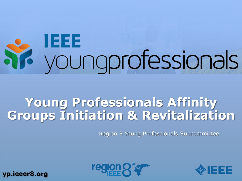# **IEEE** youngprofessionals

# **Young Professionals Affinity Groups Initiation & Revitalization**

Region 8 Young Professionals Subcommittee



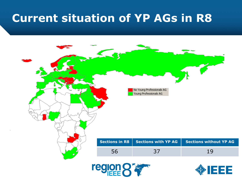#### **Current situation of YP AGs in R8**

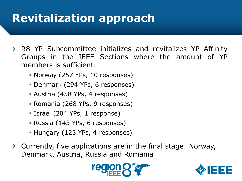# **Revitalization approach**

- R8 YP Subcommittee initializes and revitalizes YP Affinity Groups in the IEEE Sections where the amount of YP members is sufficient:
	- Norway (257 YPs, 10 responses)
	- Denmark (294 YPs, 6 responses)
	- Austria (458 YPs, 4 responses)
	- Romania (268 YPs, 9 responses)
	- Israel (204 YPs, 1 response)
	- Russia (143 YPs, 6 responses)
	- Hungary (123 YPs, 4 responses)
- Currently, five applications are in the final stage: Norway,  $\blacktriangleright$ Denmark, Austria, Russia and Romania



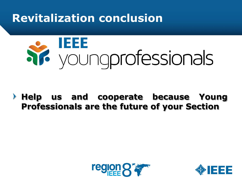#### **Revitalization conclusion**



**Help us and cooperate because Young Professionals are the future of your Section**